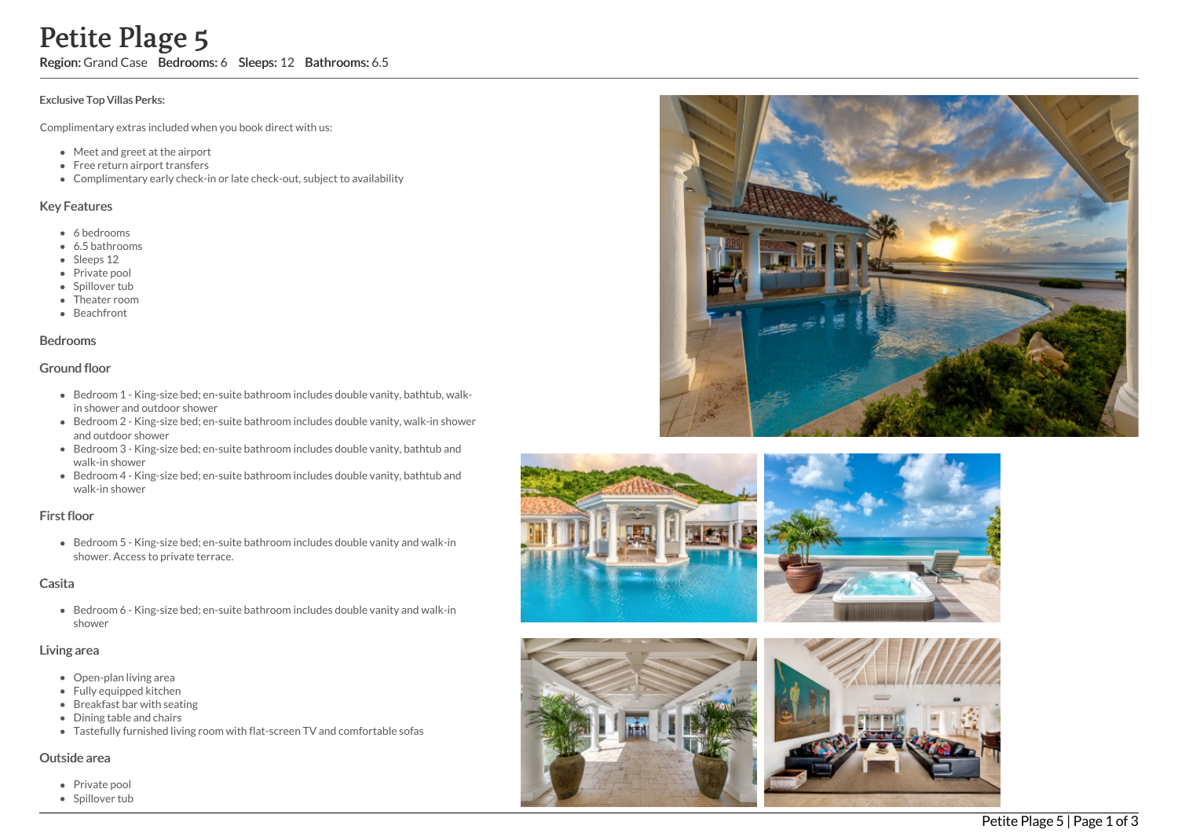# Petite Plage 5

Region: Grand Case Bedrooms: 6 Sleeps: 12 Bathrooms: 6.5

#### Exclusive Top Villas Perks:

Complimentary extras included when you book direct with us:

- Meet and greet at the airport
- Free return airport transfers
- Complimentary early check-in or late check-out, subject to availability

### Key Features

- 6 b e d r o o m s
- 6.5 bathrooms
- Sleeps 12
- Private pool
- Spillover tub
- Theater room
- Beachfront

#### **Bedrooms**

## Ground floor

- Bedroom 1 King-size bed; en-suite bathroom includes double vanity, bathtub, walkin shower and outdoor shower
- Bedroom 2 King-size bed; en-suite bathroom includes double vanity, walk-in showe r a n d o u t d o o r s h o w e r
- Bedroom 3 King-size bed; en-suite bathroom includes double vanity, bathtub and walk-in shower
- Bedroom 4 King-size bed; en-suite bathroom includes double vanity, bathtub and walk-in shower

## First floor

Bedroom 5 - King-size bed; en-suite bathroom includes double vanity and walk-in shower. Access to private terrace.

## Casita

Bedroom 6 - King-size bed; en-suite bathroom includes double vanity and walk-in s h o w e r

#### Living area

- Open-plan living area
- Fully equipped kitchen
- Breakfast bar with seating
- Dining table and chairs
- Tastefully furnished living room with flat-screen TV and comfortable sofas

#### Outside area

- Private pool
- Spillover tub









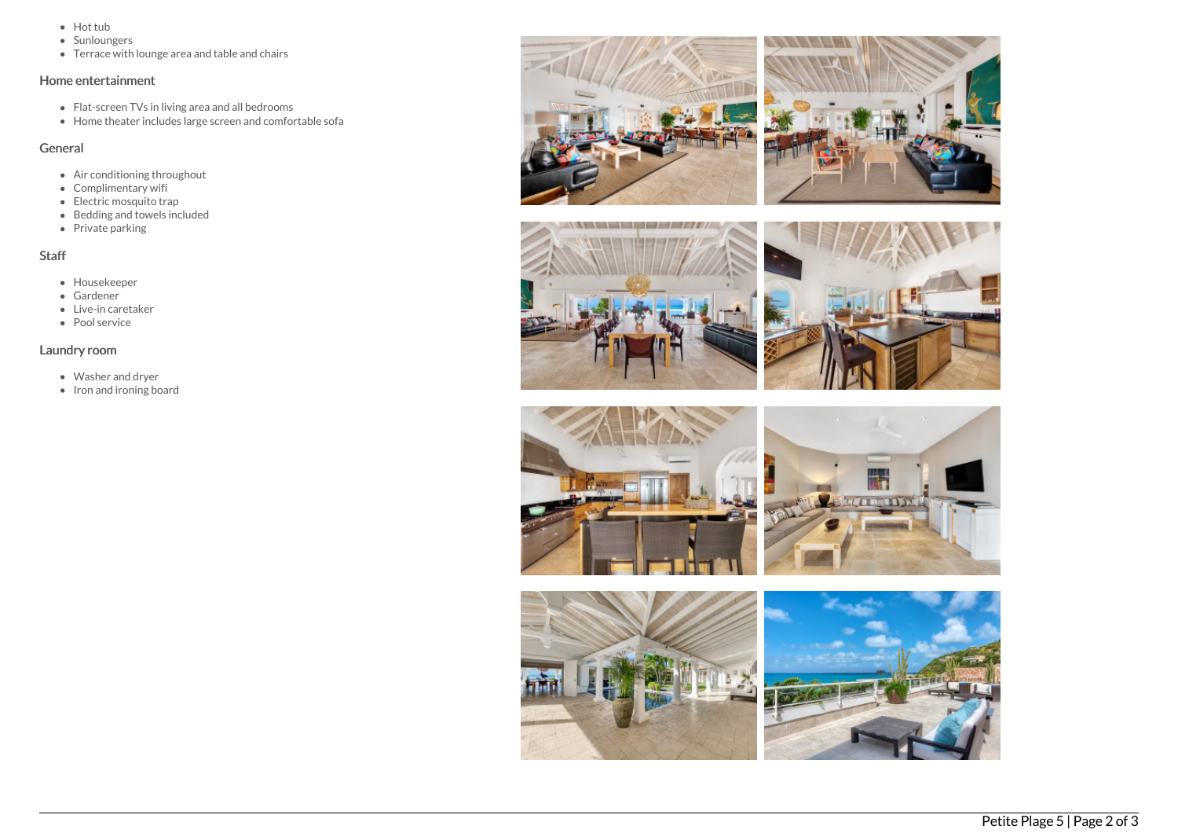- Hot tub
- Sunloungers
- Terrace with lounge area and table and chairs

# Home entertainment

- Flat-screen TVs in living area and all bedrooms
- Home theater includes large screen and comfortable sofa

## General

- Air conditioning throughout
- Complimentary wifi
- Electric mosquito trap
- Bedding and towels included
- Private parking

# Staff

- Housekeeper
- Gardener
- Live-in caretaker
- Pool service

# Laundry room

- Washer and dryer
- $\bullet$  Iron and ironing board